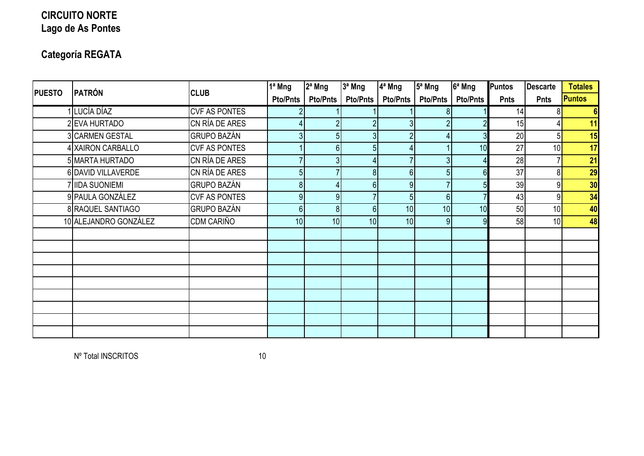## **CIRCUITO NORTE Lago de As Pontes**

## **Categoría REGATA**

| <b>PUESTO</b> | PATRÓN                | <b>CLUB</b>          | 1ª Mng          | 2ª Mng                    | 3ª Mng          | 4 <sup>ª</sup> Mng | 5 <sup>a</sup> Mng | 6ª Mng          | Puntos      | <b>Descarte</b> | <b>Totales</b> |
|---------------|-----------------------|----------------------|-----------------|---------------------------|-----------------|--------------------|--------------------|-----------------|-------------|-----------------|----------------|
|               |                       |                      | Pto/Pnts        | <b>Pto/Pnts</b>           | <b>Pto/Pnts</b> | <b>Pto/Pnts</b>    | <b>Pto/Pnts</b>    | <b>Pto/Pnts</b> | <b>Pnts</b> | <b>Pnts</b>     | <b>Puntos</b>  |
|               | 1 LUCÍA DÍAZ          | <b>CVF AS PONTES</b> |                 |                           |                 |                    |                    |                 | 14          | 81              | 6 <sup>1</sup> |
|               | 2 EVA HURTADO         | CN RÍA DE ARES       |                 |                           |                 | 31                 |                    |                 | 15          |                 | 11             |
|               | 3 CARMEN GESTAL       | <b>GRUPO BAZÁN</b>   | 31              | 51                        | 3 <sup>1</sup>  | $\overline{2}$     |                    |                 | 20          | 51              | 15             |
|               | 4 XAIRON CARBALLO     | <b>CVF AS PONTES</b> |                 | $6 \overline{6}$          | 5 <sup>1</sup>  |                    |                    | 10              | 27          | 10 <sup>1</sup> | 17             |
|               | 5 MARTA HURTADO       | CN RÍA DE ARES       |                 | 3                         |                 |                    |                    |                 | 28          |                 | 21             |
|               | 6 DAVID VILLAVERDE    | CN RÍA DE ARES       | 5               |                           | 8 <sup>1</sup>  | 6                  |                    |                 | 37          | 8 <sup>1</sup>  | 29             |
|               | 7 IIDA SUONIEMI       | <b>GRUPO BAZÁN</b>   | 8               | $\mathbf{A}_{\mathbf{I}}$ | 6 <sup>1</sup>  | 9                  |                    |                 | 39          | 91              | 30             |
|               | 9 PAULA GONZÁLEZ      | <b>CVF AS PONTES</b> | 9               | 9 <sub>l</sub>            |                 | 5 <sup>1</sup>     | 6 <sup>1</sup>     |                 | 43          | 9               | 34             |
|               | 8 RAQUEL SANTIAGO     | <b>GRUPO BAZÁN</b>   | 6               | 8 <sup>1</sup>            | 6 <sup>1</sup>  | 10 <sup>1</sup>    | 10                 | 10              | 50          | 10 <sup>1</sup> | 40             |
|               | 10 ALEJANDRO GONZÁLEZ | CDM CARIÑO           | 10 <sup>1</sup> | 10 <sub>l</sub>           | 10 <sup>1</sup> | 10 <sup>1</sup>    | 9                  |                 | 58          | 10 <sup>1</sup> | 48             |
|               |                       |                      |                 |                           |                 |                    |                    |                 |             |                 |                |
|               |                       |                      |                 |                           |                 |                    |                    |                 |             |                 |                |
|               |                       |                      |                 |                           |                 |                    |                    |                 |             |                 |                |
|               |                       |                      |                 |                           |                 |                    |                    |                 |             |                 |                |
|               |                       |                      |                 |                           |                 |                    |                    |                 |             |                 |                |
|               |                       |                      |                 |                           |                 |                    |                    |                 |             |                 |                |
|               |                       |                      |                 |                           |                 |                    |                    |                 |             |                 |                |
|               |                       |                      |                 |                           |                 |                    |                    |                 |             |                 |                |
|               |                       |                      |                 |                           |                 |                    |                    |                 |             |                 |                |

Nº Total INSCRITOS 10